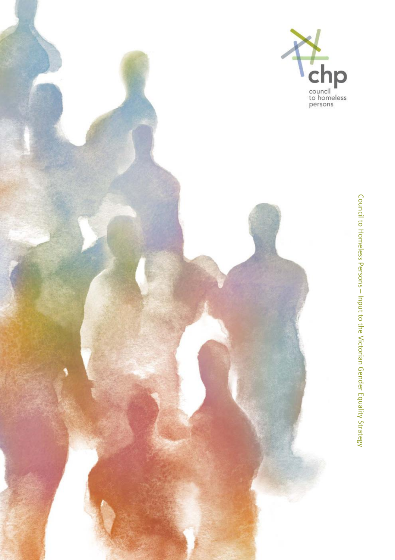

Council to Homeless Persons Council to Homeless Persons - Input to the Victorian Gender Equality Strategy Input to the Victorian Gender Equality Strategy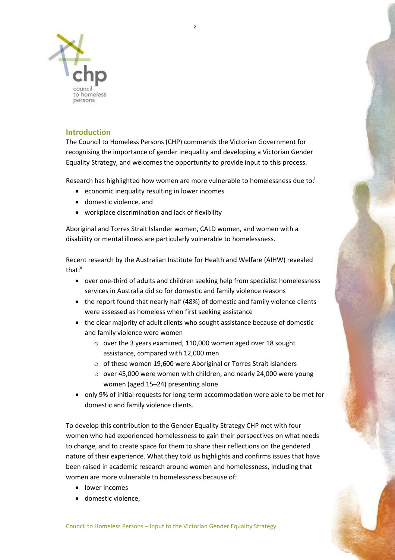

# **Introduction**

The Council to Homeless Persons (CHP) commends the Victorian Government for recognising the importance of gender inequality and developing a Victorian Gender Equality Strategy, and welcomes the opportunity to provide input to this process.

Research has highlighted how women are more vulnerable to homelessness due to:

- economic inequality resulting in lower incomes
- domestic violence, and
- workplace discrimination and lack of flexibility

Aboriginal and Torres Strait Islander women, CALD women, and women with a disability or mental illness are particularly vulnerable to homelessness.

Recent research by the Australian Institute for Health and Welfare (AIHW) revealed that:"

- over one-third of adults and children seeking help from specialist homelessness services in Australia did so for domestic and family violence reasons
- the report found that nearly half (48%) of domestic and family violence clients were assessed as homeless when first seeking assistance
- the clear majority of adult clients who sought assistance because of domestic and family violence were women
	- o over the 3 years examined, 110,000 women aged over 18 sought assistance, compared with 12,000 men
	- o of these women 19,600 were Aboriginal or Torres Strait Islanders
	- o over 45,000 were women with children, and nearly 24,000 were young women (aged 15–24) presenting alone
- only 9% of initial requests for long-term accommodation were able to be met for domestic and family violence clients.

To develop this contribution to the Gender Equality Strategy CHP met with four women who had experienced homelessness to gain their perspectives on what needs to change, and to create space for them to share their reflections on the gendered nature of their experience. What they told us highlights and confirms issues that have been raised in academic research around women and homelessness, including that women are more vulnerable to homelessness because of:

- lower incomes
- domestic violence,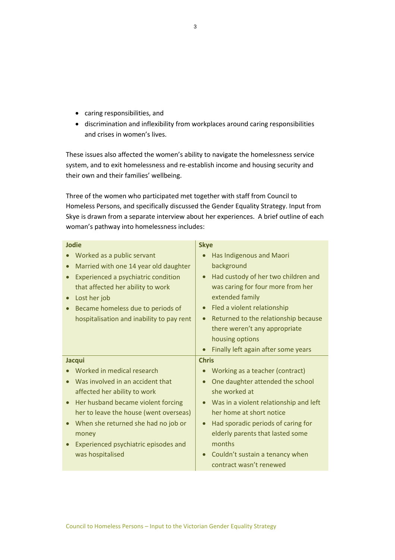- caring responsibilities, and
- discrimination and inflexibility from workplaces around caring responsibilities and crises in women's lives.

These issues also affected the women's ability to navigate the homelessness service system, and to exit homelessness and re-establish income and housing security and their own and their families' wellbeing.

Three of the women who participated met together with staff from Council to Homeless Persons, and specifically discussed the Gender Equality Strategy. Input from Skye is drawn from a separate interview about her experiences. A brief outline of each woman's pathway into homelessness includes:

| <b>Jodie</b>                                                                                                                                                                                                                                                                             | <b>Skye</b>                                                                                                                                                                                                                            |
|------------------------------------------------------------------------------------------------------------------------------------------------------------------------------------------------------------------------------------------------------------------------------------------|----------------------------------------------------------------------------------------------------------------------------------------------------------------------------------------------------------------------------------------|
| Worked as a public servant<br>Married with one 14 year old daughter<br>$\bullet$<br>Experienced a psychiatric condition<br>$\bullet$<br>that affected her ability to work<br>Lost her job<br>$\bullet$<br>Became homeless due to periods of<br>hospitalisation and inability to pay rent | Has Indigenous and Maori<br>background<br>Had custody of her two children and<br>$\bullet$<br>was caring for four more from her<br>extended family<br>Fled a violent relationship<br>Returned to the relationship because<br>$\bullet$ |
|                                                                                                                                                                                                                                                                                          | there weren't any appropriate<br>housing options<br>Finally left again after some years<br><b>Chris</b>                                                                                                                                |
|                                                                                                                                                                                                                                                                                          |                                                                                                                                                                                                                                        |
| <b>Jacqui</b>                                                                                                                                                                                                                                                                            | $\bullet$                                                                                                                                                                                                                              |
| Worked in medical research<br>Was involved in an accident that<br>affected her ability to work<br>Her husband became violent forcing<br>$\bullet$                                                                                                                                        | Working as a teacher (contract)<br>One daughter attended the school<br>she worked at<br>Was in a violent relationship and left<br>$\bullet$                                                                                            |
| her to leave the house (went overseas)                                                                                                                                                                                                                                                   | her home at short notice                                                                                                                                                                                                               |
| When she returned she had no job or<br>$\bullet$<br>money<br>Experienced psychiatric episodes and<br>was hospitalised                                                                                                                                                                    | Had sporadic periods of caring for<br>elderly parents that lasted some<br>months<br>Couldn't sustain a tenancy when                                                                                                                    |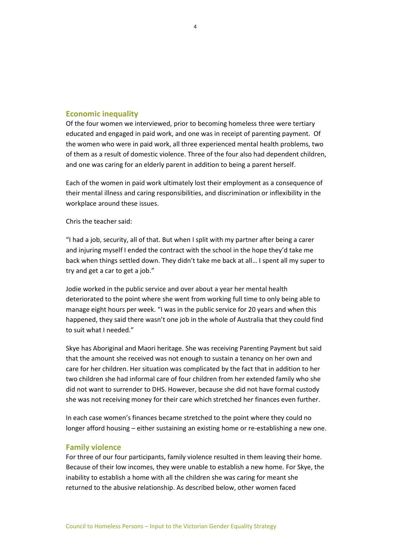## **Economic inequality**

Of the four women we interviewed, prior to becoming homeless three were tertiary educated and engaged in paid work, and one was in receipt of parenting payment. Of the women who were in paid work, all three experienced mental health problems, two of them as a result of domestic violence. Three of the four also had dependent children, and one was caring for an elderly parent in addition to being a parent herself.

Each of the women in paid work ultimately lost their employment as a consequence of their mental illness and caring responsibilities, and discrimination or inflexibility in the workplace around these issues.

Chris the teacher said:

"I had a job, security, all of that. But when I split with my partner after being a carer and injuring myself I ended the contract with the school in the hope they'd take me back when things settled down. They didn't take me back at all… I spent all my super to try and get a car to get a job."

Jodie worked in the public service and over about a year her mental health deteriorated to the point where she went from working full time to only being able to manage eight hours per week. "I was in the public service for 20 years and when this happened, they said there wasn't one job in the whole of Australia that they could find to suit what I needed."

Skye has Aboriginal and Maori heritage. She was receiving Parenting Payment but said that the amount she received was not enough to sustain a tenancy on her own and care for her children. Her situation was complicated by the fact that in addition to her two children she had informal care of four children from her extended family who she did not want to surrender to DHS. However, because she did not have formal custody she was not receiving money for their care which stretched her finances even further.

In each case women's finances became stretched to the point where they could no longer afford housing – either sustaining an existing home or re-establishing a new one.

### **Family violence**

For three of our four participants, family violence resulted in them leaving their home. Because of their low incomes, they were unable to establish a new home. For Skye, the inability to establish a home with all the children she was caring for meant she returned to the abusive relationship. As described below, other women faced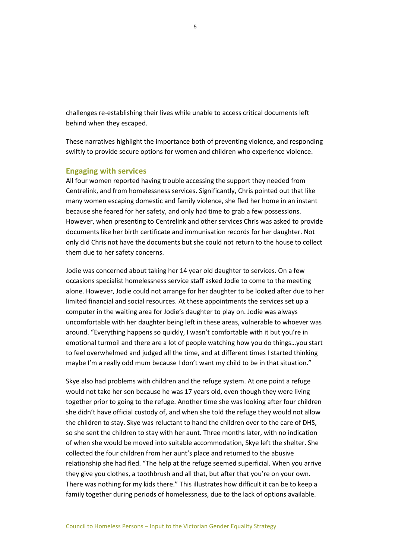challenges re-establishing their lives while unable to access critical documents left behind when they escaped.

These narratives highlight the importance both of preventing violence, and responding swiftly to provide secure options for women and children who experience violence.

## **Engaging with services**

All four women reported having trouble accessing the support they needed from Centrelink, and from homelessness services. Significantly, Chris pointed out that like many women escaping domestic and family violence, she fled her home in an instant because she feared for her safety, and only had time to grab a few possessions. However, when presenting to Centrelink and other services Chris was asked to provide documents like her birth certificate and immunisation records for her daughter. Not only did Chris not have the documents but she could not return to the house to collect them due to her safety concerns.

Jodie was concerned about taking her 14 year old daughter to services. On a few occasions specialist homelessness service staff asked Jodie to come to the meeting alone. However, Jodie could not arrange for her daughter to be looked after due to her limited financial and social resources. At these appointments the services set up a computer in the waiting area for Jodie's daughter to play on. Jodie was always uncomfortable with her daughter being left in these areas, vulnerable to whoever was around. "Everything happens so quickly, I wasn't comfortable with it but you're in emotional turmoil and there are a lot of people watching how you do things…you start to feel overwhelmed and judged all the time, and at different times I started thinking maybe I'm a really odd mum because I don't want my child to be in that situation."

Skye also had problems with children and the refuge system. At one point a refuge would not take her son because he was 17 years old, even though they were living together prior to going to the refuge. Another time she was looking after four children she didn't have official custody of, and when she told the refuge they would not allow the children to stay. Skye was reluctant to hand the children over to the care of DHS, so she sent the children to stay with her aunt. Three months later, with no indication of when she would be moved into suitable accommodation, Skye left the shelter. She collected the four children from her aunt's place and returned to the abusive relationship she had fled. "The help at the refuge seemed superficial. When you arrive they give you clothes, a toothbrush and all that, but after that you're on your own. There was nothing for my kids there." This illustrates how difficult it can be to keep a family together during periods of homelessness, due to the lack of options available.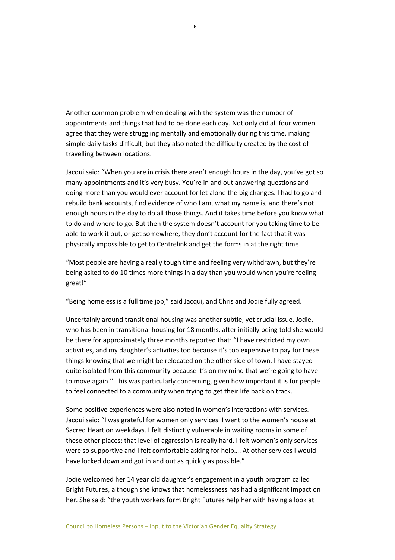Another common problem when dealing with the system was the number of appointments and things that had to be done each day. Not only did all four women agree that they were struggling mentally and emotionally during this time, making simple daily tasks difficult, but they also noted the difficulty created by the cost of travelling between locations.

Jacqui said: "When you are in crisis there aren't enough hours in the day, you've got so many appointments and it's very busy. You're in and out answering questions and doing more than you would ever account for let alone the big changes. I had to go and rebuild bank accounts, find evidence of who I am, what my name is, and there's not enough hours in the day to do all those things. And it takes time before you know what to do and where to go. But then the system doesn't account for you taking time to be able to work it out, or get somewhere, they don't account for the fact that it was physically impossible to get to Centrelink and get the forms in at the right time.

"Most people are having a really tough time and feeling very withdrawn, but they're being asked to do 10 times more things in a day than you would when you're feeling great!"

"Being homeless is a full time job," said Jacqui, and Chris and Jodie fully agreed.

Uncertainly around transitional housing was another subtle, yet crucial issue. Jodie, who has been in transitional housing for 18 months, after initially being told she would be there for approximately three months reported that: "I have restricted my own activities, and my daughter's activities too because it's too expensive to pay for these things knowing that we might be relocated on the other side of town. I have stayed quite isolated from this community because it's on my mind that we're going to have to move again.'' This was particularly concerning, given how important it is for people to feel connected to a community when trying to get their life back on track.

Some positive experiences were also noted in women's interactions with services. Jacqui said: "I was grateful for women only services. I went to the women's house at Sacred Heart on weekdays. I felt distinctly vulnerable in waiting rooms in some of these other places; that level of aggression is really hard. I felt women's only services were so supportive and I felt comfortable asking for help…. At other services I would have locked down and got in and out as quickly as possible."

Jodie welcomed her 14 year old daughter's engagement in a youth program called Bright Futures, although she knows that homelessness has had a significant impact on her. She said: "the youth workers form Bright Futures help her with having a look at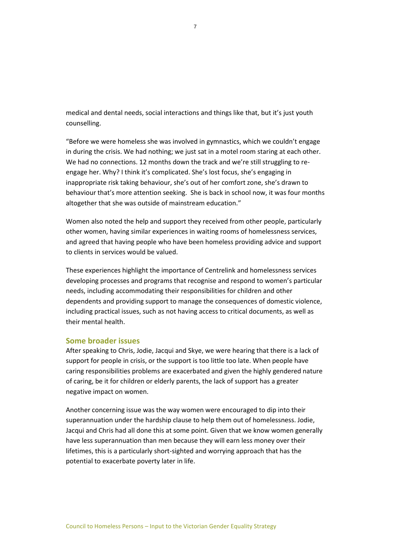medical and dental needs, social interactions and things like that, but it's just youth counselling.

"Before we were homeless she was involved in gymnastics, which we couldn't engage in during the crisis. We had nothing; we just sat in a motel room staring at each other. We had no connections. 12 months down the track and we're still struggling to reengage her. Why? I think it's complicated. She's lost focus, she's engaging in inappropriate risk taking behaviour, she's out of her comfort zone, she's drawn to behaviour that's more attention seeking. She is back in school now, it was four months altogether that she was outside of mainstream education."

Women also noted the help and support they received from other people, particularly other women, having similar experiences in waiting rooms of homelessness services, and agreed that having people who have been homeless providing advice and support to clients in services would be valued.

These experiences highlight the importance of Centrelink and homelessness services developing processes and programs that recognise and respond to women's particular needs, including accommodating their responsibilities for children and other dependents and providing support to manage the consequences of domestic violence, including practical issues, such as not having access to critical documents, as well as their mental health.

# **Some broader issues**

After speaking to Chris, Jodie, Jacqui and Skye, we were hearing that there is a lack of support for people in crisis, or the support is too little too late. When people have caring responsibilities problems are exacerbated and given the highly gendered nature of caring, be it for children or elderly parents, the lack of support has a greater negative impact on women.

Another concerning issue was the way women were encouraged to dip into their superannuation under the hardship clause to help them out of homelessness. Jodie, Jacqui and Chris had all done this at some point. Given that we know women generally have less superannuation than men because they will earn less money over their lifetimes, this is a particularly short-sighted and worrying approach that has the potential to exacerbate poverty later in life.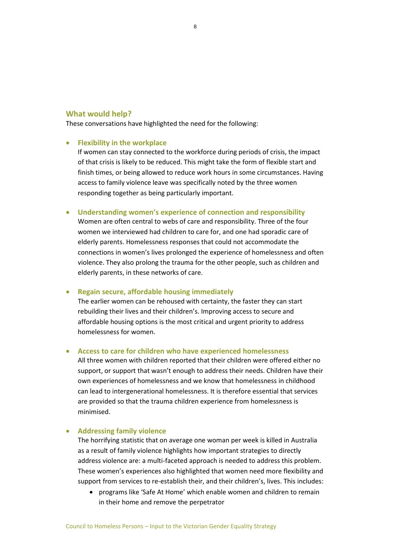## **What would help?**

These conversations have highlighted the need for the following:

## **Flexibility in the workplace**

If women can stay connected to the workforce during periods of crisis, the impact of that crisis is likely to be reduced. This might take the form of flexible start and finish times, or being allowed to reduce work hours in some circumstances. Having access to family violence leave was specifically noted by the three women responding together as being particularly important.

#### **Understanding women's experience of connection and responsibility**

Women are often central to webs of care and responsibility. Three of the four women we interviewed had children to care for, and one had sporadic care of elderly parents. Homelessness responses that could not accommodate the connections in women's lives prolonged the experience of homelessness and often violence. They also prolong the trauma for the other people, such as children and elderly parents, in these networks of care.

### **Regain secure, affordable housing immediately**

The earlier women can be rehoused with certainty, the faster they can start rebuilding their lives and their children's. Improving access to secure and affordable housing options is the most critical and urgent priority to address homelessness for women.

### **Access to care for children who have experienced homelessness**

All three women with children reported that their children were offered either no support, or support that wasn't enough to address their needs. Children have their own experiences of homelessness and we know that homelessness in childhood can lead to intergenerational homelessness. It is therefore essential that services are provided so that the trauma children experience from homelessness is minimised.

### **Addressing family violence**

The horrifying statistic that on average one woman per week is killed in Australia as a result of family violence highlights how important strategies to directly address violence are: a multi-faceted approach is needed to address this problem. These women's experiences also highlighted that women need more flexibility and support from services to re-establish their, and their children's, lives. This includes:

 programs like 'Safe At Home' which enable women and children to remain in their home and remove the perpetrator